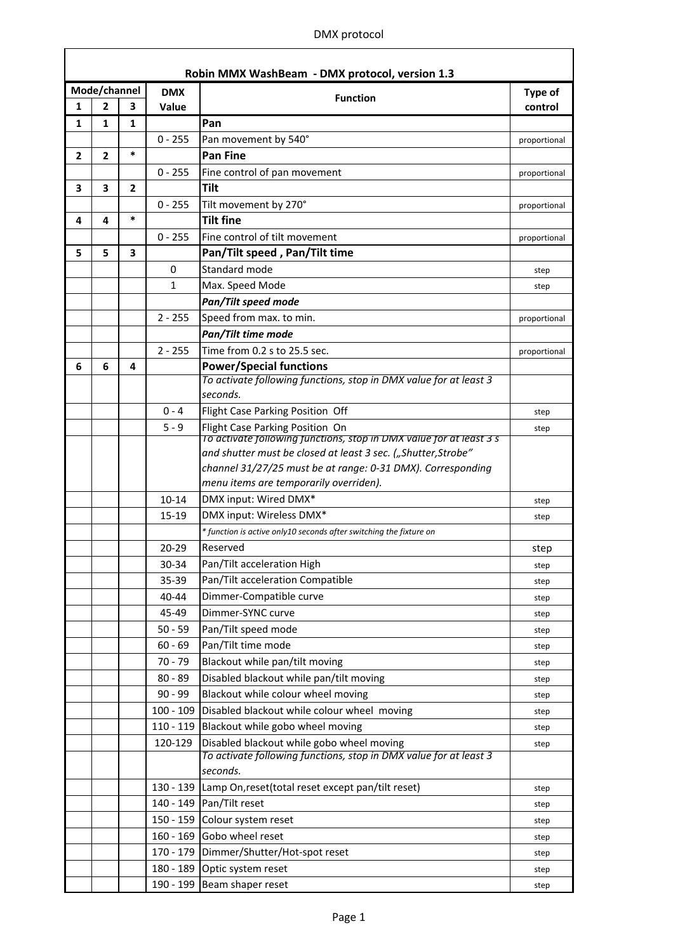## DMX protocol

 $\overline{\phantom{a}}$ 

| Robin MMX WashBeam - DMX protocol, version 1.3 |                |                |             |                                                                                                          |              |
|------------------------------------------------|----------------|----------------|-------------|----------------------------------------------------------------------------------------------------------|--------------|
|                                                | Mode/channel   |                | <b>DMX</b>  | <b>Function</b>                                                                                          | Type of      |
| 1                                              | $\overline{2}$ | 3              | Value       |                                                                                                          | control      |
| $\mathbf{1}$                                   | $\mathbf{1}$   | $\mathbf{1}$   |             | Pan                                                                                                      |              |
|                                                |                |                | $0 - 255$   | Pan movement by 540°                                                                                     | proportional |
| $\mathbf{2}$                                   | $\overline{2}$ | $\ast$         |             | <b>Pan Fine</b>                                                                                          |              |
|                                                |                |                | $0 - 255$   | Fine control of pan movement                                                                             | proportional |
| 3                                              | 3              | $\overline{2}$ |             | <b>Tilt</b>                                                                                              |              |
|                                                |                |                | $0 - 255$   | Tilt movement by 270°                                                                                    | proportional |
| 4                                              | 4              | $\ast$         |             | <b>Tilt fine</b>                                                                                         |              |
|                                                |                |                | $0 - 255$   | Fine control of tilt movement                                                                            | proportional |
| 5                                              | 5              | 3              |             | Pan/Tilt speed, Pan/Tilt time                                                                            |              |
|                                                |                |                | 0           | Standard mode                                                                                            | step         |
|                                                |                |                | 1           | Max. Speed Mode                                                                                          | step         |
|                                                |                |                |             | Pan/Tilt speed mode                                                                                      |              |
|                                                |                |                | $2 - 255$   | Speed from max. to min.                                                                                  | proportional |
|                                                |                |                |             | Pan/Tilt time mode                                                                                       |              |
|                                                |                |                | $2 - 255$   | Time from 0.2 s to 25.5 sec.                                                                             | proportional |
| 6                                              | 6              | 4              |             | <b>Power/Special functions</b>                                                                           |              |
|                                                |                |                |             | To activate following functions, stop in DMX value for at least 3                                        |              |
|                                                |                |                |             | seconds.                                                                                                 |              |
|                                                |                |                | $0 - 4$     | Flight Case Parking Position Off                                                                         | step         |
|                                                |                |                | $5 - 9$     | Flight Case Parking Position On<br>To activate following functions, stop in DIVIX value for at least 3 s | step         |
|                                                |                |                |             | and shutter must be closed at least 3 sec. ("Shutter, Strobe"                                            |              |
|                                                |                |                |             | channel 31/27/25 must be at range: 0-31 DMX). Corresponding                                              |              |
|                                                |                |                |             | menu items are temporarily overriden).                                                                   |              |
|                                                |                |                | $10 - 14$   | DMX input: Wired DMX*                                                                                    | step         |
|                                                |                |                | 15-19       | DMX input: Wireless DMX*                                                                                 | step         |
|                                                |                |                |             | * function is active only10 seconds after switching the fixture on                                       |              |
|                                                |                |                | $20 - 29$   | Reserved                                                                                                 | step         |
|                                                |                |                | 30-34       | Pan/Tilt acceleration High                                                                               | step         |
|                                                |                |                | 35-39       | Pan/Tilt acceleration Compatible                                                                         | step         |
|                                                |                |                | 40-44       | Dimmer-Compatible curve                                                                                  | step         |
|                                                |                |                | 45-49       | Dimmer-SYNC curve                                                                                        | step         |
|                                                |                |                | $50 - 59$   | Pan/Tilt speed mode                                                                                      | step         |
|                                                |                |                | $60 - 69$   | Pan/Tilt time mode                                                                                       | step         |
|                                                |                |                | $70 - 79$   | Blackout while pan/tilt moving                                                                           | step         |
|                                                |                |                | $80 - 89$   | Disabled blackout while pan/tilt moving                                                                  | step         |
|                                                |                |                | $90 - 99$   | Blackout while colour wheel moving                                                                       | step         |
|                                                |                |                | $100 - 109$ | Disabled blackout while colour wheel moving                                                              | step         |
|                                                |                |                | $110 - 119$ | Blackout while gobo wheel moving                                                                         | step         |
|                                                |                |                | 120-129     | Disabled blackout while gobo wheel moving                                                                | step         |
|                                                |                |                |             | To activate following functions, stop in DMX value for at least 3<br>seconds.                            |              |
|                                                |                |                |             | 130 - 139 Lamp On, reset (total reset except pan/tilt reset)                                             |              |
|                                                |                |                |             | 140 - 149 Pan/Tilt reset                                                                                 | step         |
|                                                |                |                |             | 150 - 159 Colour system reset                                                                            | step         |
|                                                |                |                |             | 160 - 169 Gobo wheel reset                                                                               | step         |
|                                                |                |                |             | 170 - 179   Dimmer/Shutter/Hot-spot reset                                                                | step         |
|                                                |                |                |             | 180 - 189 Optic system reset                                                                             | step         |
|                                                |                |                |             | 190 - 199 Beam shaper reset                                                                              | step         |
|                                                |                |                |             |                                                                                                          | step         |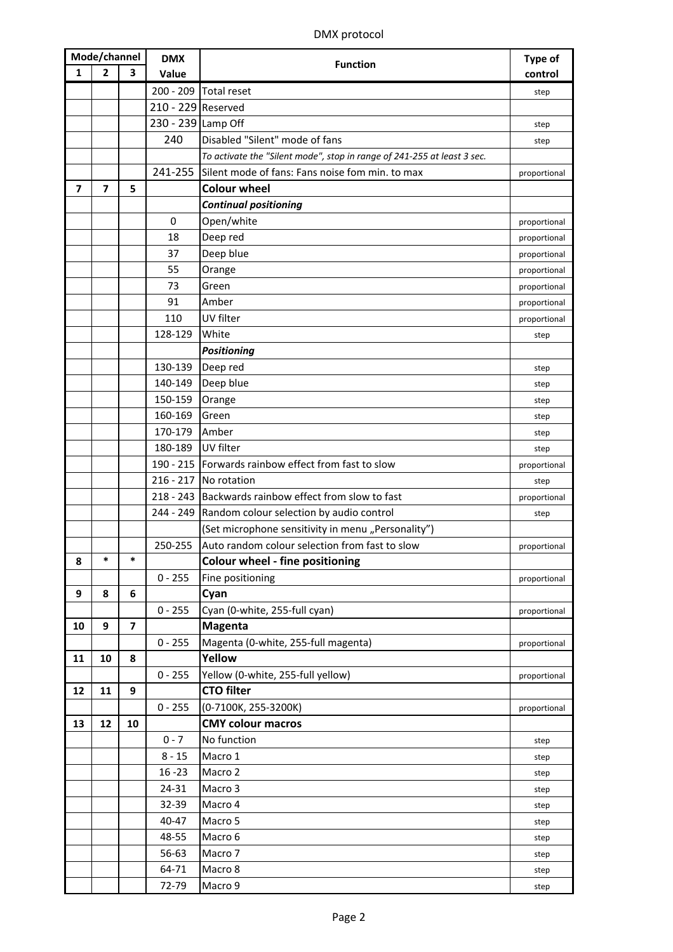## DMX protocol

| Mode/channel |              | <b>DMX</b>              | <b>Function</b>    | <b>Type of</b>                                                          |              |
|--------------|--------------|-------------------------|--------------------|-------------------------------------------------------------------------|--------------|
| 1            | $\mathbf{2}$ | 3                       | Value              |                                                                         | control      |
|              |              |                         | $200 - 209$        | Total reset                                                             | step         |
|              |              |                         | 210 - 229 Reserved |                                                                         |              |
|              |              |                         | 230 - 239 Lamp Off |                                                                         | step         |
|              |              |                         | 240                | Disabled "Silent" mode of fans                                          | step         |
|              |              |                         |                    | To activate the "Silent mode", stop in range of 241-255 at least 3 sec. |              |
|              |              |                         | 241-255            | Silent mode of fans: Fans noise fom min. to max                         | proportional |
| 7            | 7            | 5                       |                    | <b>Colour wheel</b>                                                     |              |
|              |              |                         |                    | <b>Continual positioning</b>                                            |              |
|              |              |                         | 0                  | Open/white                                                              | proportional |
|              |              |                         | 18                 | Deep red                                                                | proportional |
|              |              |                         | 37                 | Deep blue                                                               | proportional |
|              |              |                         | 55                 | Orange                                                                  | proportional |
|              |              |                         | 73                 | Green                                                                   | proportional |
|              |              |                         | 91                 | Amber                                                                   | proportional |
|              |              |                         | 110                | UV filter                                                               | proportional |
|              |              |                         | 128-129            | White                                                                   | step         |
|              |              |                         |                    | <b>Positioning</b>                                                      |              |
|              |              |                         | 130-139            | Deep red                                                                | step         |
|              |              |                         | 140-149            | Deep blue                                                               | step         |
|              |              |                         | 150-159            | Orange                                                                  | step         |
|              |              |                         | 160-169            | Green                                                                   | step         |
|              |              |                         | 170-179            | Amber                                                                   | step         |
|              |              |                         | 180-189            | UV filter                                                               | step         |
|              |              |                         | 190 - 215          | Forwards rainbow effect from fast to slow                               | proportional |
|              |              |                         | $216 - 217$        | No rotation                                                             | step         |
|              |              |                         |                    | 218 - 243 Backwards rainbow effect from slow to fast                    | proportional |
|              |              |                         |                    | 244 - 249 Random colour selection by audio control                      | step         |
|              |              |                         |                    | (Set microphone sensitivity in menu "Personality")                      |              |
|              |              |                         | 250-255            | Auto random colour selection from fast to slow                          | proportional |
| 8            | *            | *                       |                    | <b>Colour wheel - fine positioning</b>                                  |              |
|              |              |                         | $0 - 255$          | Fine positioning                                                        | proportional |
| 9            | 8            | 6                       |                    | Cyan                                                                    |              |
|              |              |                         | $0 - 255$          | Cyan (0-white, 255-full cyan)                                           | proportional |
| 10           | 9            | $\overline{\mathbf{z}}$ |                    | <b>Magenta</b>                                                          |              |
|              |              |                         | $0 - 255$          | Magenta (0-white, 255-full magenta)                                     | proportional |
| 11           | 10           | 8                       |                    | Yellow                                                                  |              |
|              |              |                         | $0 - 255$          | Yellow (0-white, 255-full yellow)                                       | proportional |
| 12           | 11           | 9                       |                    | <b>CTO filter</b>                                                       |              |
|              |              |                         | $0 - 255$          | (0-7100K, 255-3200K)                                                    | proportional |
| 13           | 12           | 10                      |                    | <b>CMY colour macros</b>                                                |              |
|              |              |                         | $0 - 7$            | No function                                                             | step         |
|              |              |                         | $8 - 15$           | Macro 1                                                                 | step         |
|              |              |                         | $16 - 23$          | Macro 2                                                                 | step         |
|              |              |                         | 24-31              | Macro 3                                                                 | step         |
|              |              |                         | 32-39              | Macro 4                                                                 | step         |
|              |              |                         | 40-47              | Macro 5                                                                 | step         |
|              |              |                         | 48-55              | Macro 6                                                                 | step         |
|              |              |                         | 56-63              | Macro 7                                                                 | step         |
|              |              |                         | 64-71              | Macro 8                                                                 | step         |
|              |              |                         | 72-79              | Macro 9                                                                 | step         |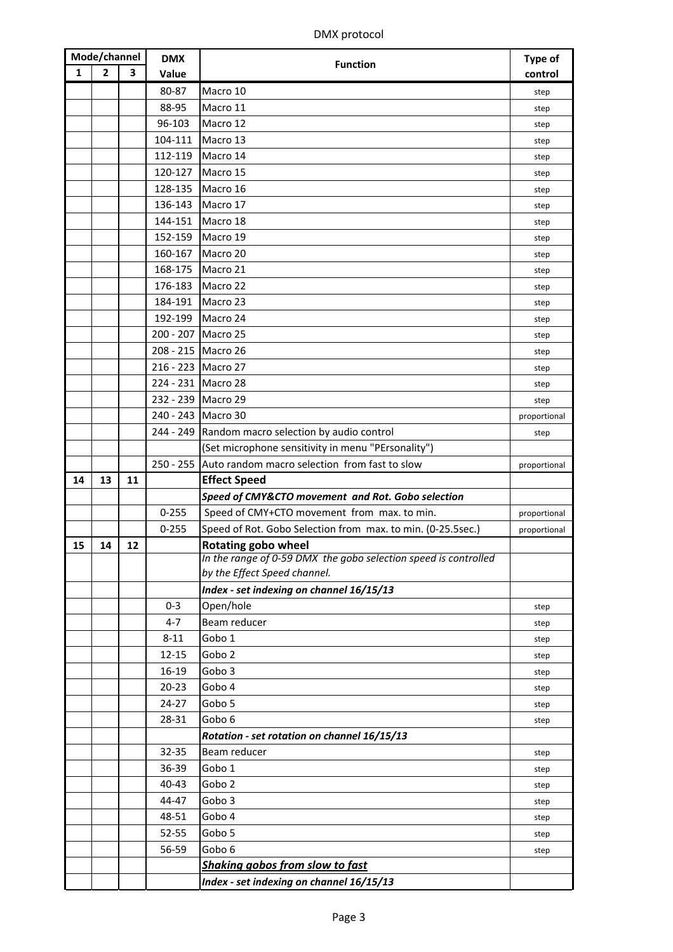| Mode/channel |    | <b>DMX</b> | <b>Function</b> | Type of                                                                                       |              |
|--------------|----|------------|-----------------|-----------------------------------------------------------------------------------------------|--------------|
| 1            | 2  | 3          | Value           |                                                                                               | control      |
|              |    |            | 80-87           | Macro 10                                                                                      | step         |
|              |    |            | 88-95           | Macro 11                                                                                      | step         |
|              |    |            | 96-103          | Macro 12                                                                                      | step         |
|              |    |            | 104-111         | Macro 13                                                                                      | step         |
|              |    |            | 112-119         | Macro 14                                                                                      | step         |
|              |    |            | 120-127         | Macro 15                                                                                      | step         |
|              |    |            | 128-135         | Macro 16                                                                                      | step         |
|              |    |            | 136-143         | Macro 17                                                                                      | step         |
|              |    |            | 144-151         | Macro 18                                                                                      | step         |
|              |    |            | 152-159         | Macro 19                                                                                      | step         |
|              |    |            | 160-167         | Macro 20                                                                                      | step         |
|              |    |            | 168-175         | Macro 21                                                                                      | step         |
|              |    |            | 176-183         | Macro 22                                                                                      | step         |
|              |    |            | 184-191         | Macro 23                                                                                      | step         |
|              |    |            | 192-199         | Macro 24                                                                                      | step         |
|              |    |            | $200 - 207$     | Macro 25                                                                                      | step         |
|              |    |            |                 | 208 - 215 Macro 26                                                                            | step         |
|              |    |            |                 | 216 - 223 Macro 27                                                                            | step         |
|              |    |            |                 | 224 - 231 Macro 28                                                                            | step         |
|              |    |            |                 | 232 - 239 Macro 29                                                                            | step         |
|              |    |            |                 | 240 - 243 Macro 30                                                                            | proportional |
|              |    |            |                 | 244 - 249   Random macro selection by audio control                                           | step         |
|              |    |            |                 | (Set microphone sensitivity in menu "PErsonality")                                            |              |
|              |    |            |                 | 250 - 255 Auto random macro selection from fast to slow                                       | proportional |
| 14           | 13 | 11         |                 | <b>Effect Speed</b>                                                                           |              |
|              |    |            |                 | Speed of CMY&CTO movement and Rot. Gobo selection                                             |              |
|              |    |            | $0 - 255$       | Speed of CMY+CTO movement from max. to min.                                                   | proportional |
|              |    |            | $0 - 255$       | Speed of Rot. Gobo Selection from max. to min. (0-25.5sec.)                                   | proportional |
| 15           | 14 | 12         |                 | <b>Rotating gobo wheel</b><br>In the range of 0-59 DMX the gobo selection speed is controlled |              |
|              |    |            |                 | by the Effect Speed channel.                                                                  |              |
|              |    |            |                 | Index - set indexing on channel 16/15/13                                                      |              |
|              |    |            | $0 - 3$         | Open/hole                                                                                     | step         |
|              |    |            | $4 - 7$         | Beam reducer                                                                                  | step         |
|              |    |            | $8 - 11$        | Gobo 1                                                                                        | step         |
|              |    |            | 12-15           | Gobo <sub>2</sub>                                                                             | step         |
|              |    |            | 16-19           | Gobo 3                                                                                        | step         |
|              |    |            | $20 - 23$       | Gobo 4                                                                                        | step         |
|              |    |            | 24-27           | Gobo 5                                                                                        | step         |
|              |    |            | 28-31           | Gobo 6                                                                                        | step         |
|              |    |            |                 | Rotation - set rotation on channel 16/15/13                                                   |              |
|              |    |            | 32-35           | Beam reducer                                                                                  | step         |
|              |    |            | 36-39           | Gobo 1                                                                                        | step         |
|              |    |            | 40-43           | Gobo <sub>2</sub>                                                                             | step         |
|              |    |            | 44-47           | Gobo 3                                                                                        | step         |
|              |    |            | 48-51           | Gobo 4                                                                                        | step         |
|              |    |            | 52-55           | Gobo 5                                                                                        | step         |
|              |    |            | 56-59           | Gobo 6                                                                                        | step         |
|              |    |            |                 | Shaking gobos from slow to fast                                                               |              |
|              |    |            |                 | Index - set indexing on channel 16/15/13                                                      |              |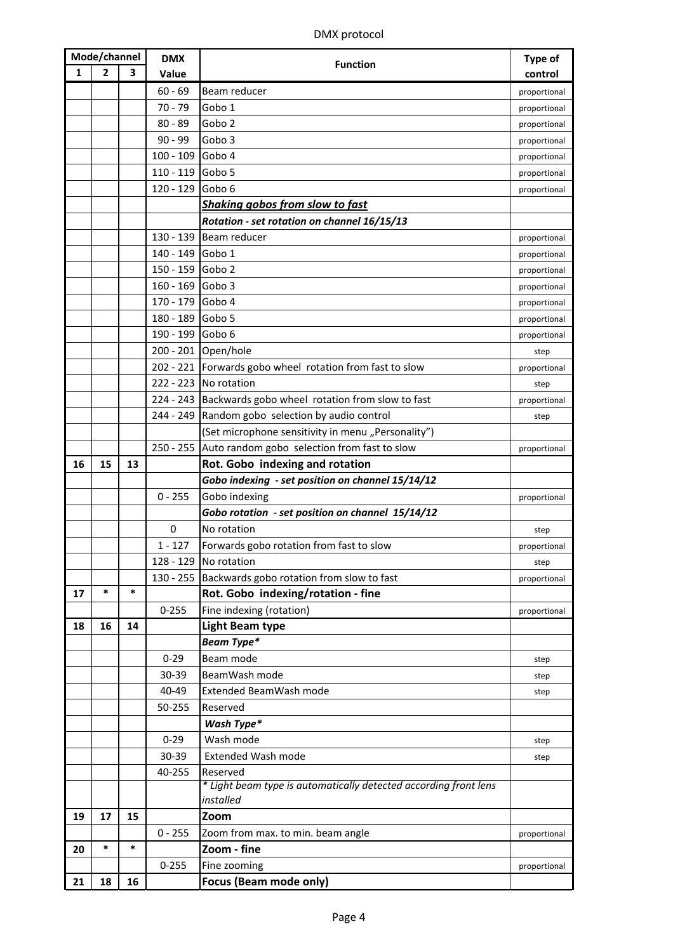| Mode/channel |                | <b>DMX</b> | <b>Function</b>  | <b>Type of</b>                                                               |              |
|--------------|----------------|------------|------------------|------------------------------------------------------------------------------|--------------|
| 1            | $\overline{2}$ | 3          | Value            |                                                                              | control      |
|              |                |            | $60 - 69$        | Beam reducer                                                                 | proportional |
|              |                |            | $70 - 79$        | Gobo 1                                                                       | proportional |
|              |                |            | $80 - 89$        | Gobo <sub>2</sub>                                                            | proportional |
|              |                |            | $90 - 99$        | Gobo <sub>3</sub>                                                            | proportional |
|              |                |            | $100 - 109$      | Gobo 4                                                                       | proportional |
|              |                |            | $110 - 119$      | Gobo 5                                                                       | proportional |
|              |                |            | 120 - 129 Gobo 6 |                                                                              | proportional |
|              |                |            |                  | <b>Shaking gobos from slow to fast</b>                                       |              |
|              |                |            |                  | Rotation - set rotation on channel 16/15/13                                  |              |
|              |                |            | 130 - 139        | Beam reducer                                                                 | proportional |
|              |                |            | 140 - 149 Gobo 1 |                                                                              | proportional |
|              |                |            | 150 - 159 Gobo 2 |                                                                              | proportional |
|              |                |            | 160 - 169 Gobo 3 |                                                                              | proportional |
|              |                |            | 170 - 179 Gobo 4 |                                                                              | proportional |
|              |                |            | 180 - 189 Gobo 5 |                                                                              | proportional |
|              |                |            | 190 - 199        | Gobo 6                                                                       | proportional |
|              |                |            |                  | 200 - 201 Open/hole                                                          | step         |
|              |                |            |                  | 202 - 221 Forwards gobo wheel rotation from fast to slow                     | proportional |
|              |                |            |                  | 222 - 223 No rotation                                                        | step         |
|              |                |            |                  | 224 - 243 Backwards gobo wheel rotation from slow to fast                    | proportional |
|              |                |            |                  | 244 - 249 Random gobo selection by audio control                             | step         |
|              |                |            |                  | (Set microphone sensitivity in menu "Personality")                           |              |
|              |                |            |                  | 250 - 255 Auto random gobo selection from fast to slow                       | proportional |
| 16           | 15             | 13         |                  | Rot. Gobo indexing and rotation                                              |              |
|              |                |            |                  | Gobo indexing - set position on channel 15/14/12                             |              |
|              |                |            | $0 - 255$        | Gobo indexing                                                                | proportional |
|              |                |            |                  | Gobo rotation - set position on channel 15/14/12                             |              |
|              |                |            | 0                | No rotation                                                                  | step         |
|              |                |            | $1 - 127$        | Forwards gobo rotation from fast to slow                                     | proportional |
|              |                |            |                  | 128 - 129 No rotation                                                        | step         |
|              |                |            |                  | 130 - 255 Backwards gobo rotation from slow to fast                          | proportional |
| 17           | $\ast$         | $\ast$     |                  | Rot. Gobo indexing/rotation - fine                                           |              |
|              |                |            | $0 - 255$        | Fine indexing (rotation)                                                     | proportional |
| 18           | 16             | 14         |                  | <b>Light Beam type</b>                                                       |              |
|              |                |            |                  | Beam Type*                                                                   |              |
|              |                |            | $0 - 29$         | Beam mode                                                                    | step         |
|              |                |            | 30-39            | BeamWash mode                                                                | step         |
|              |                |            | 40-49            | Extended BeamWash mode                                                       | step         |
|              |                |            | 50-255           | Reserved                                                                     |              |
|              |                |            |                  | Wash Type*                                                                   |              |
|              |                |            | $0 - 29$         | Wash mode                                                                    | step         |
|              |                |            | 30-39            | <b>Extended Wash mode</b>                                                    | step         |
|              |                |            | 40-255           | Reserved<br>* Light beam type is automatically detected according front lens |              |
|              |                |            |                  | installed                                                                    |              |
| 19           | 17             | 15         |                  | Zoom                                                                         |              |
|              |                |            | $0 - 255$        | Zoom from max. to min. beam angle                                            | proportional |
| 20           | $\ast$         | $\ast$     |                  | Zoom - fine                                                                  |              |
|              |                |            | $0 - 255$        | Fine zooming                                                                 | proportional |
| 21           | 18             | 16         |                  | Focus (Beam mode only)                                                       |              |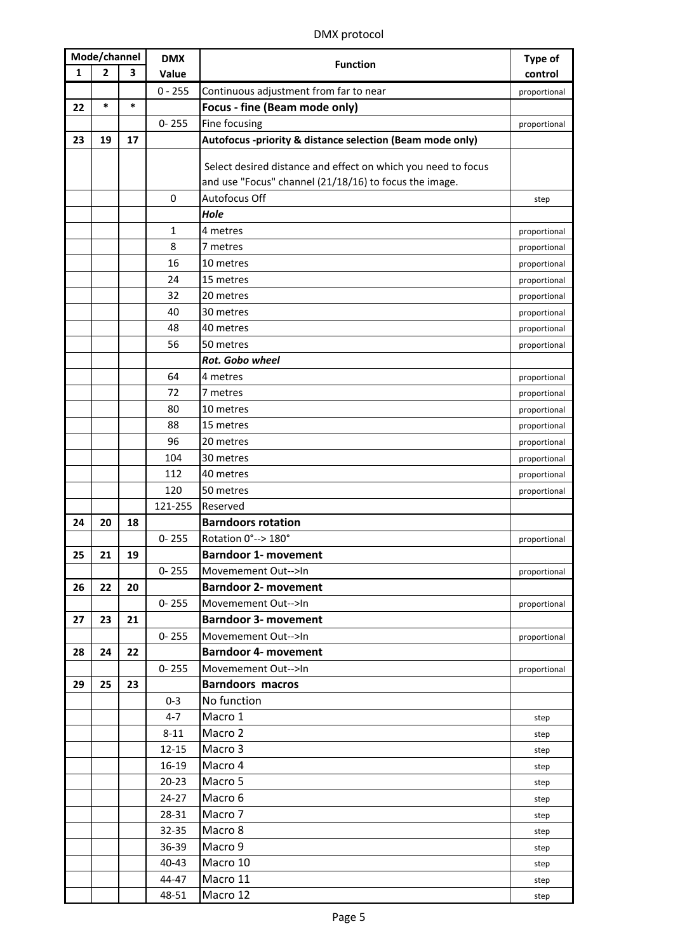## DMX protocol

| Mode/channel |              | <b>DMX</b> |                  | Type of                                                       |              |
|--------------|--------------|------------|------------------|---------------------------------------------------------------|--------------|
| 1            | $\mathbf{2}$ | 3          | Value            | <b>Function</b>                                               | control      |
|              |              |            | $0 - 255$        | Continuous adjustment from far to near                        | proportional |
| 22           | $\ast$       | $\ast$     |                  | Focus - fine (Beam mode only)                                 |              |
|              |              |            | $0 - 255$        | Fine focusing                                                 | proportional |
| 23           | 19           | 17         |                  | Autofocus -priority & distance selection (Beam mode only)     |              |
|              |              |            |                  |                                                               |              |
|              |              |            |                  | Select desired distance and effect on which you need to focus |              |
|              |              |            |                  | and use "Focus" channel (21/18/16) to focus the image.        |              |
|              |              |            | $\boldsymbol{0}$ | Autofocus Off                                                 | step         |
|              |              |            |                  | Hole                                                          |              |
|              |              |            | 1                | 4 metres                                                      | proportional |
|              |              |            | 8                | 7 metres                                                      | proportional |
|              |              |            | 16               | 10 metres                                                     | proportional |
|              |              |            | 24               | 15 metres                                                     | proportional |
|              |              |            | 32               | 20 metres                                                     | proportional |
|              |              |            | 40               | 30 metres                                                     | proportional |
|              |              |            | 48               | 40 metres                                                     | proportional |
|              |              |            | 56               | 50 metres                                                     | proportional |
|              |              |            |                  | Rot. Gobo wheel                                               |              |
|              |              |            | 64               | 4 metres                                                      | proportional |
|              |              |            | 72               | 7 metres                                                      | proportional |
|              |              |            | 80               | 10 metres                                                     | proportional |
|              |              |            | 88               | 15 metres                                                     | proportional |
|              |              |            | 96               | 20 metres                                                     | proportional |
|              |              |            | 104              | 30 metres                                                     | proportional |
|              |              |            | 112              | 40 metres                                                     | proportional |
|              |              |            | 120              | 50 metres                                                     | proportional |
|              |              |            | 121-255          | Reserved                                                      |              |
| 24           | 20           | 18         |                  | <b>Barndoors rotation</b><br>Rotation 0° -- > 180°            |              |
| 25           | 21           | 19         | $0 - 255$        | <b>Barndoor 1- movement</b>                                   | proportional |
|              |              |            | $0 - 255$        | Movemement Out-->In                                           |              |
| 26           | 22           | 20         |                  | <b>Barndoor 2- movement</b>                                   | proportional |
|              |              |            | $0 - 255$        | Movemement Out-->In                                           | proportional |
| 27           | 23           | 21         |                  | <b>Barndoor 3- movement</b>                                   |              |
|              |              |            | $0 - 255$        | Movemement Out-->In                                           | proportional |
| 28           | 24           | 22         |                  | <b>Barndoor 4- movement</b>                                   |              |
|              |              |            | $0 - 255$        | Movemement Out-->In                                           | proportional |
| 29           | 25           | 23         |                  | <b>Barndoors macros</b>                                       |              |
|              |              |            | $0 - 3$          | No function                                                   |              |
|              |              |            | $4 - 7$          | Macro 1                                                       | step         |
|              |              |            | $8 - 11$         | Macro 2                                                       | step         |
|              |              |            | $12 - 15$        | Macro 3                                                       | step         |
|              |              |            | 16-19            | Macro 4                                                       | step         |
|              |              |            | $20 - 23$        | Macro 5                                                       | step         |
|              |              |            | $24-27$          | Macro 6                                                       | step         |
|              |              |            | 28-31            | Macro 7                                                       | step         |
|              |              |            | 32-35            | Macro 8                                                       | step         |
|              |              |            | 36-39            | Macro 9                                                       | step         |
|              |              |            | 40-43            | Macro 10                                                      | step         |
|              |              |            | 44-47            | Macro 11                                                      | step         |
|              |              |            | 48-51            | Macro 12                                                      | step         |